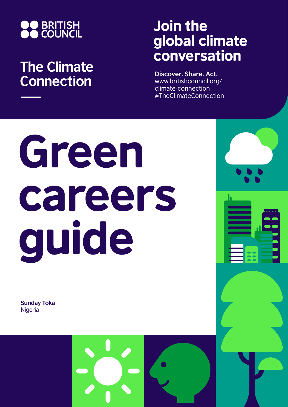

## **The Climate Connection**

## Join the global climate conversation

**Discover. Share. Act.** www.britishcouncil.org/ climate-connection #TheClimateConnection

# Green careers guide

**Sunday Toka** Nigeria

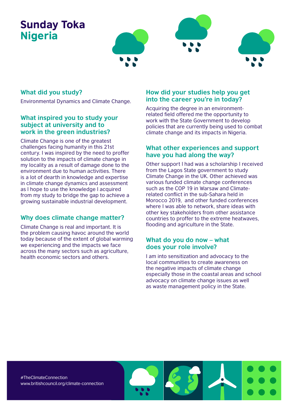### Sunday Toka Nigeria



#### **What did you study?**

Environmental Dynamics and Climate Change.

#### **What inspired you to study your subject at university and to work in the green industries?**

Climate Change is one of the greatest challenges facing humanity in this 21st century. I was inspired by the need to proffer solution to the impacts of climate change in my locality as a result of damage done to the environment due to human activities. There is a lot of dearth in knowledge and expertise in climate change dynamics and assessment as l hope to use the knowledge l acquired from my study to bridge the gap to achieve a growing sustainable industrial development.

#### **Why does climate change matter?**

Climate Change is real and important. It is the problem causing havoc around the world today because of the extent of global warming we experiencing and the impacts we face across the many sectors such as agriculture, health economic sectors and others.

#### **How did your studies help you get into the career you're in today?**

Acquiring the degree in an environmentrelated field offered me the opportunity to work with the State Government to develop policies that are currently being used to combat climate change and its impacts in Nigeria.

#### **What other experiences and support have you had along the way?**

Other support l had was a scholarship I received from the Lagos State government to study Climate Change in the UK. Other achieved was various funded climate change conferences such as the COP 19 in Warsaw and Climaterelated conflict in the sub-Sahara held in Morocco 2019, and other funded conferences where I was able to network, share ideas with other key stakeholders from other assistance countries to proffer to the extreme heatwaves, flooding and agriculture in the State.

#### **What do you do now – what does your role involve?**

I am into sensitization and advocacy to the local communities to create awareness on the negative impacts of climate change especially those in the coastal areas and school advocacy on climate change issues as well as waste management policy in the State.

#TheClimateConnection www.britishcouncil.org/climate-connection